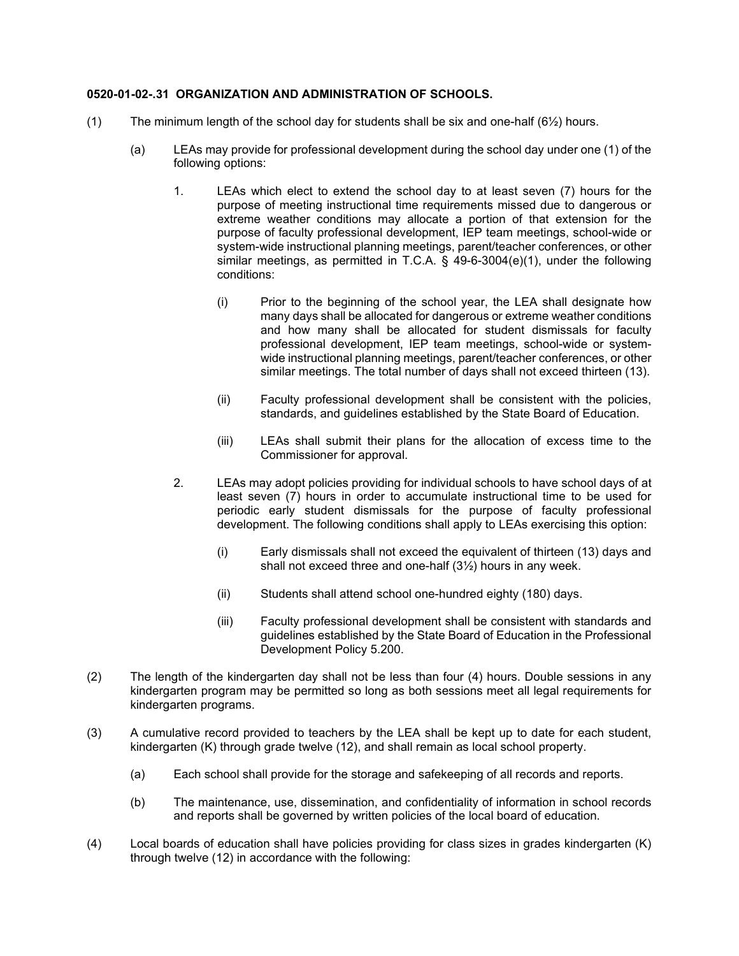## **0520-01-02-.31 ORGANIZATION AND ADMINISTRATION OF SCHOOLS.**

- (1) The minimum length of the school day for students shall be six and one-half  $(6\frac{1}{2})$  hours.
	- (a) LEAs may provide for professional development during the school day under one (1) of the following options:
		- 1. LEAs which elect to extend the school day to at least seven (7) hours for the purpose of meeting instructional time requirements missed due to dangerous or extreme weather conditions may allocate a portion of that extension for the purpose of faculty professional development, IEP team meetings, school-wide or system-wide instructional planning meetings, parent/teacher conferences, or other similar meetings, as permitted in T.C.A. § 49-6-3004(e)(1), under the following conditions:
			- (i) Prior to the beginning of the school year, the LEA shall designate how many days shall be allocated for dangerous or extreme weather conditions and how many shall be allocated for student dismissals for faculty professional development, IEP team meetings, school-wide or systemwide instructional planning meetings, parent/teacher conferences, or other similar meetings. The total number of days shall not exceed thirteen (13).
			- (ii) Faculty professional development shall be consistent with the policies, standards, and guidelines established by the State Board of Education.
			- (iii) LEAs shall submit their plans for the allocation of excess time to the Commissioner for approval.
		- 2. LEAs may adopt policies providing for individual schools to have school days of at least seven (7) hours in order to accumulate instructional time to be used for periodic early student dismissals for the purpose of faculty professional development. The following conditions shall apply to LEAs exercising this option:
			- (i) Early dismissals shall not exceed the equivalent of thirteen (13) days and shall not exceed three and one-half (3½) hours in any week.
			- (ii) Students shall attend school one-hundred eighty (180) days.
			- (iii) Faculty professional development shall be consistent with standards and guidelines established by the State Board of Education in the Professional Development Policy 5.200.
- (2) The length of the kindergarten day shall not be less than four (4) hours. Double sessions in any kindergarten program may be permitted so long as both sessions meet all legal requirements for kindergarten programs.
- (3) A cumulative record provided to teachers by the LEA shall be kept up to date for each student, kindergarten (K) through grade twelve (12), and shall remain as local school property.
	- (a) Each school shall provide for the storage and safekeeping of all records and reports.
	- (b) The maintenance, use, dissemination, and confidentiality of information in school records and reports shall be governed by written policies of the local board of education.
- (4) Local boards of education shall have policies providing for class sizes in grades kindergarten (K) through twelve (12) in accordance with the following: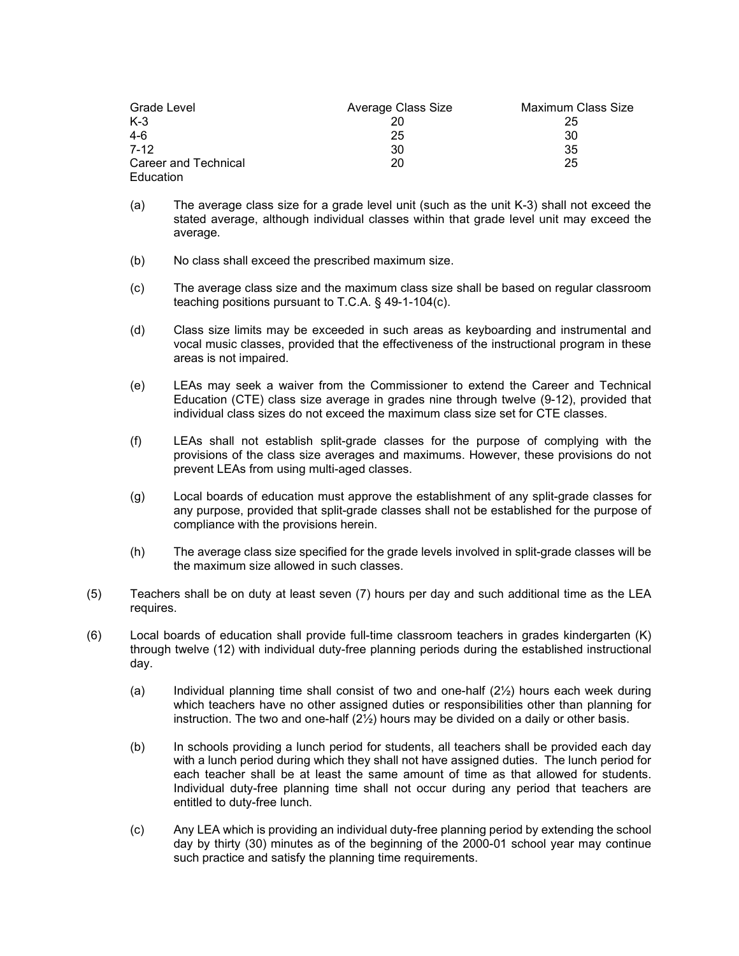| Grade Level          | Average Class Size | Maximum Class Size |
|----------------------|--------------------|--------------------|
| $K-3$                |                    | 25                 |
| $4-6$                | 25                 | 30                 |
| $7-12$               | 30                 | 35                 |
| Career and Technical | 20                 | 25                 |
| Education            |                    |                    |

- (a) The average class size for a grade level unit (such as the unit K-3) shall not exceed the stated average, although individual classes within that grade level unit may exceed the average.
- (b) No class shall exceed the prescribed maximum size.
- (c) The average class size and the maximum class size shall be based on regular classroom teaching positions pursuant to T.C.A. § 49-1-104(c).
- (d) Class size limits may be exceeded in such areas as keyboarding and instrumental and vocal music classes, provided that the effectiveness of the instructional program in these areas is not impaired.
- (e) LEAs may seek a waiver from the Commissioner to extend the Career and Technical Education (CTE) class size average in grades nine through twelve (9-12), provided that individual class sizes do not exceed the maximum class size set for CTE classes.
- (f) LEAs shall not establish split-grade classes for the purpose of complying with the provisions of the class size averages and maximums. However, these provisions do not prevent LEAs from using multi-aged classes.
- (g) Local boards of education must approve the establishment of any split-grade classes for any purpose, provided that split-grade classes shall not be established for the purpose of compliance with the provisions herein.
- (h) The average class size specified for the grade levels involved in split-grade classes will be the maximum size allowed in such classes.
- (5) Teachers shall be on duty at least seven (7) hours per day and such additional time as the LEA requires.
- (6) Local boards of education shall provide full-time classroom teachers in grades kindergarten (K) through twelve (12) with individual duty-free planning periods during the established instructional day.
	- (a) Individual planning time shall consist of two and one-half  $(2\frac{1}{2})$  hours each week during which teachers have no other assigned duties or responsibilities other than planning for instruction. The two and one-half  $(2<sup>j</sup>/<sub>2</sub>)$  hours may be divided on a daily or other basis.
	- (b) In schools providing a lunch period for students, all teachers shall be provided each day with a lunch period during which they shall not have assigned duties. The lunch period for each teacher shall be at least the same amount of time as that allowed for students. Individual duty-free planning time shall not occur during any period that teachers are entitled to duty-free lunch.
	- (c) Any LEA which is providing an individual duty-free planning period by extending the school day by thirty (30) minutes as of the beginning of the 2000-01 school year may continue such practice and satisfy the planning time requirements.